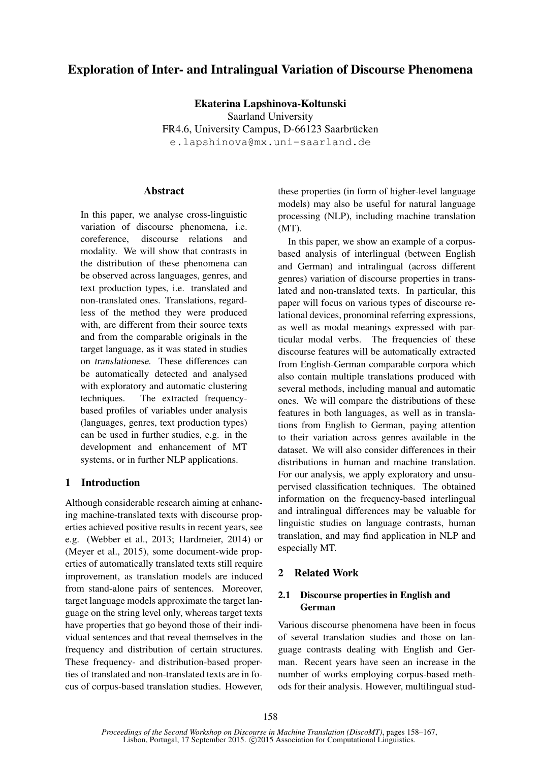# Exploration of Inter- and Intralingual Variation of Discourse Phenomena

Ekaterina Lapshinova-Koltunski

Saarland University

FR4.6, University Campus, D-66123 Saarbrücken

e.lapshinova@mx.uni-saarland.de

### **Abstract**

In this paper, we analyse cross-linguistic variation of discourse phenomena, i.e. coreference, discourse relations and modality. We will show that contrasts in the distribution of these phenomena can be observed across languages, genres, and text production types, i.e. translated and non-translated ones. Translations, regardless of the method they were produced with, are different from their source texts and from the comparable originals in the target language, as it was stated in studies on translationese. These differences can be automatically detected and analysed with exploratory and automatic clustering techniques. The extracted frequencybased profiles of variables under analysis (languages, genres, text production types) can be used in further studies, e.g. in the development and enhancement of MT systems, or in further NLP applications.

# 1 Introduction

Although considerable research aiming at enhancing machine-translated texts with discourse properties achieved positive results in recent years, see e.g. (Webber et al., 2013; Hardmeier, 2014) or (Meyer et al., 2015), some document-wide properties of automatically translated texts still require improvement, as translation models are induced from stand-alone pairs of sentences. Moreover, target language models approximate the target language on the string level only, whereas target texts have properties that go beyond those of their individual sentences and that reveal themselves in the frequency and distribution of certain structures. These frequency- and distribution-based properties of translated and non-translated texts are in focus of corpus-based translation studies. However, these properties (in form of higher-level language models) may also be useful for natural language processing (NLP), including machine translation (MT).

In this paper, we show an example of a corpusbased analysis of interlingual (between English and German) and intralingual (across different genres) variation of discourse properties in translated and non-translated texts. In particular, this paper will focus on various types of discourse relational devices, pronominal referring expressions, as well as modal meanings expressed with particular modal verbs. The frequencies of these discourse features will be automatically extracted from English-German comparable corpora which also contain multiple translations produced with several methods, including manual and automatic ones. We will compare the distributions of these features in both languages, as well as in translations from English to German, paying attention to their variation across genres available in the dataset. We will also consider differences in their distributions in human and machine translation. For our analysis, we apply exploratory and unsupervised classification techniques. The obtained information on the frequency-based interlingual and intralingual differences may be valuable for linguistic studies on language contrasts, human translation, and may find application in NLP and especially MT.

# 2 Related Work

# 2.1 Discourse properties in English and German

Various discourse phenomena have been in focus of several translation studies and those on language contrasts dealing with English and German. Recent years have seen an increase in the number of works employing corpus-based methods for their analysis. However, multilingual stud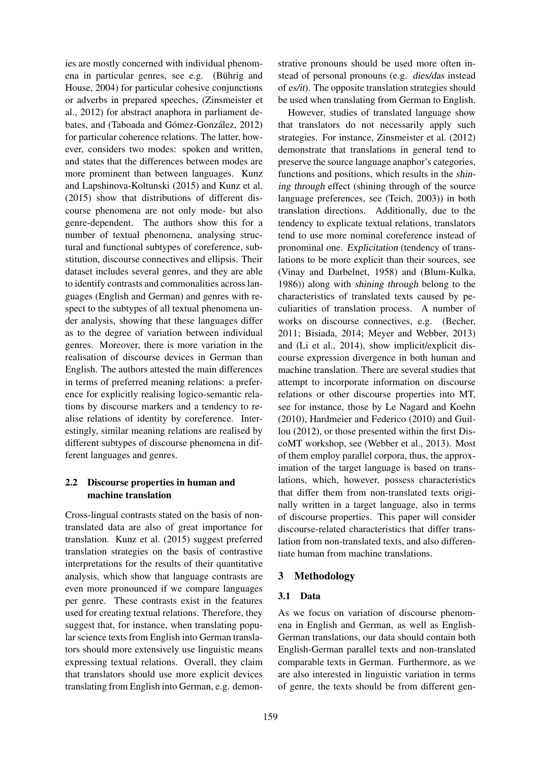ies are mostly concerned with individual phenomena in particular genres, see e.g. (Bührig and House, 2004) for particular cohesive conjunctions or adverbs in prepared speeches, (Zinsmeister et al., 2012) for abstract anaphora in parliament debates, and (Taboada and Gómez-González, 2012) for particular coherence relations. The latter, however, considers two modes: spoken and written, and states that the differences between modes are more prominent than between languages. Kunz and Lapshinova-Koltunski (2015) and Kunz et al. (2015) show that distributions of different discourse phenomena are not only mode- but also genre-dependent. The authors show this for a number of textual phenomena, analysing structural and functional subtypes of coreference, substitution, discourse connectives and ellipsis. Their dataset includes several genres, and they are able to identify contrasts and commonalities across languages (English and German) and genres with respect to the subtypes of all textual phenomena under analysis, showing that these languages differ as to the degree of variation between individual genres. Moreover, there is more variation in the realisation of discourse devices in German than English. The authors attested the main differences in terms of preferred meaning relations: a preference for explicitly realising logico-semantic relations by discourse markers and a tendency to realise relations of identity by coreference. Interestingly, similar meaning relations are realised by different subtypes of discourse phenomena in different languages and genres.

# 2.2 Discourse properties in human and machine translation

Cross-lingual contrasts stated on the basis of nontranslated data are also of great importance for translation. Kunz et al. (2015) suggest preferred translation strategies on the basis of contrastive interpretations for the results of their quantitative analysis, which show that language contrasts are even more pronounced if we compare languages per genre. These contrasts exist in the features used for creating textual relations. Therefore, they suggest that, for instance, when translating popular science texts from English into German translators should more extensively use linguistic means expressing textual relations. Overall, they claim that translators should use more explicit devices translating from English into German, e.g. demonstrative pronouns should be used more often instead of personal pronouns (e.g. dies/das instead of es/it). The opposite translation strategies should be used when translating from German to English.

However, studies of translated language show that translators do not necessarily apply such strategies. For instance, Zinsmeister et al. (2012) demonstrate that translations in general tend to preserve the source language anaphor's categories, functions and positions, which results in the shining through effect (shining through of the source language preferences, see (Teich, 2003)) in both translation directions. Additionally, due to the tendency to explicate textual relations, translators tend to use more nominal coreference instead of pronominal one. Explicitation (tendency of translations to be more explicit than their sources, see (Vinay and Darbelnet, 1958) and (Blum-Kulka, 1986)) along with shining through belong to the characteristics of translated texts caused by peculiarities of translation process. A number of works on discourse connectives, e.g. (Becher, 2011; Bisiada, 2014; Meyer and Webber, 2013) and (Li et al., 2014), show implicit/explicit discourse expression divergence in both human and machine translation. There are several studies that attempt to incorporate information on discourse relations or other discourse properties into MT, see for instance, those by Le Nagard and Koehn (2010), Hardmeier and Federico (2010) and Guillou (2012), or those presented within the first DiscoMT workshop, see (Webber et al., 2013). Most of them employ parallel corpora, thus, the approximation of the target language is based on translations, which, however, possess characteristics that differ them from non-translated texts originally written in a target language, also in terms of discourse properties. This paper will consider discourse-related characteristics that differ translation from non-translated texts, and also differentiate human from machine translations.

# 3 Methodology

# 3.1 Data

As we focus on variation of discourse phenomena in English and German, as well as English-German translations, our data should contain both English-German parallel texts and non-translated comparable texts in German. Furthermore, as we are also interested in linguistic variation in terms of genre, the texts should be from different gen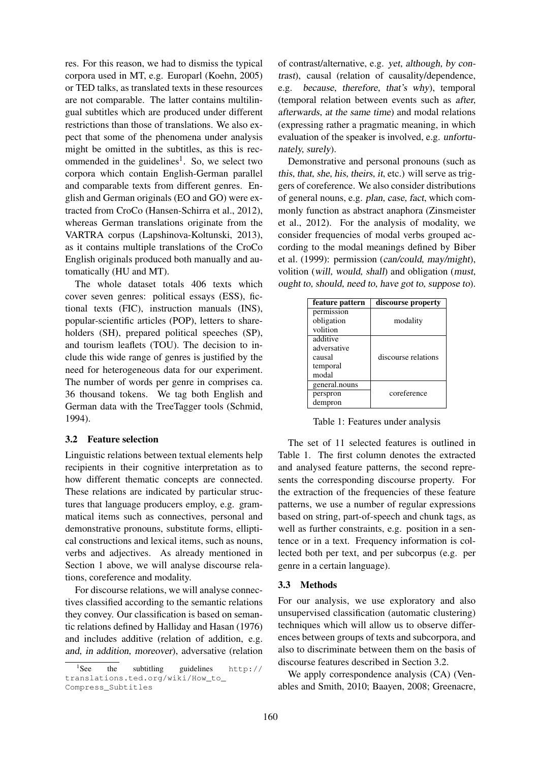res. For this reason, we had to dismiss the typical corpora used in MT, e.g. Europarl (Koehn, 2005) or TED talks, as translated texts in these resources are not comparable. The latter contains multilingual subtitles which are produced under different restrictions than those of translations. We also expect that some of the phenomena under analysis might be omitted in the subtitles, as this is recommended in the guidelines<sup>1</sup>. So, we select two corpora which contain English-German parallel and comparable texts from different genres. English and German originals (EO and GO) were extracted from CroCo (Hansen-Schirra et al., 2012), whereas German translations originate from the VARTRA corpus (Lapshinova-Koltunski, 2013), as it contains multiple translations of the CroCo English originals produced both manually and automatically (HU and MT).

The whole dataset totals 406 texts which cover seven genres: political essays (ESS), fictional texts (FIC), instruction manuals (INS), popular-scientific articles (POP), letters to shareholders (SH), prepared political speeches (SP), and tourism leaflets (TOU). The decision to include this wide range of genres is justified by the need for heterogeneous data for our experiment. The number of words per genre in comprises ca. 36 thousand tokens. We tag both English and German data with the TreeTagger tools (Schmid, 1994).

### 3.2 Feature selection

Linguistic relations between textual elements help recipients in their cognitive interpretation as to how different thematic concepts are connected. These relations are indicated by particular structures that language producers employ, e.g. grammatical items such as connectives, personal and demonstrative pronouns, substitute forms, elliptical constructions and lexical items, such as nouns, verbs and adjectives. As already mentioned in Section 1 above, we will analyse discourse relations, coreference and modality.

For discourse relations, we will analyse connectives classified according to the semantic relations they convey. Our classification is based on semantic relations defined by Halliday and Hasan (1976) and includes additive (relation of addition, e.g. and, in addition, moreover), adversative (relation

of contrast/alternative, e.g. yet, although, by contrast), causal (relation of causality/dependence, e.g. because, therefore, that's why), temporal (temporal relation between events such as after, afterwards, at the same time) and modal relations (expressing rather a pragmatic meaning, in which evaluation of the speaker is involved, e.g. unfortunately, surely).

Demonstrative and personal pronouns (such as this, that, she, his, theirs, it, etc.) will serve as triggers of coreference. We also consider distributions of general nouns, e.g. plan, case, fact, which commonly function as abstract anaphora (Zinsmeister et al., 2012). For the analysis of modality, we consider frequencies of modal verbs grouped according to the modal meanings defined by Biber et al. (1999): permission (can/could, may/might), volition (will, would, shall) and obligation (must, ought to, should, need to, have got to, suppose to).

| feature pattern | discourse property  |  |  |
|-----------------|---------------------|--|--|
| permission      |                     |  |  |
| obligation      | modality            |  |  |
| volition        |                     |  |  |
| additive        |                     |  |  |
| adversative     |                     |  |  |
| causal          | discourse relations |  |  |
| temporal        |                     |  |  |
| modal           |                     |  |  |
| general.nouns   |                     |  |  |
| perspron        | coreference         |  |  |
| dempron         |                     |  |  |

Table 1: Features under analysis

The set of 11 selected features is outlined in Table 1. The first column denotes the extracted and analysed feature patterns, the second represents the corresponding discourse property. For the extraction of the frequencies of these feature patterns, we use a number of regular expressions based on string, part-of-speech and chunk tags, as well as further constraints, e.g. position in a sentence or in a text. Frequency information is collected both per text, and per subcorpus (e.g. per genre in a certain language).

### 3.3 Methods

For our analysis, we use exploratory and also unsupervised classification (automatic clustering) techniques which will allow us to observe differences between groups of texts and subcorpora, and also to discriminate between them on the basis of discourse features described in Section 3.2.

We apply correspondence analysis (CA) (Venables and Smith, 2010; Baayen, 2008; Greenacre,

 ${}^{1}$ See  $the$  subtitling guidelines  $h \text{ttp}:$  // translations.ted.org/wiki/How\_to\_ Compress\_Subtitles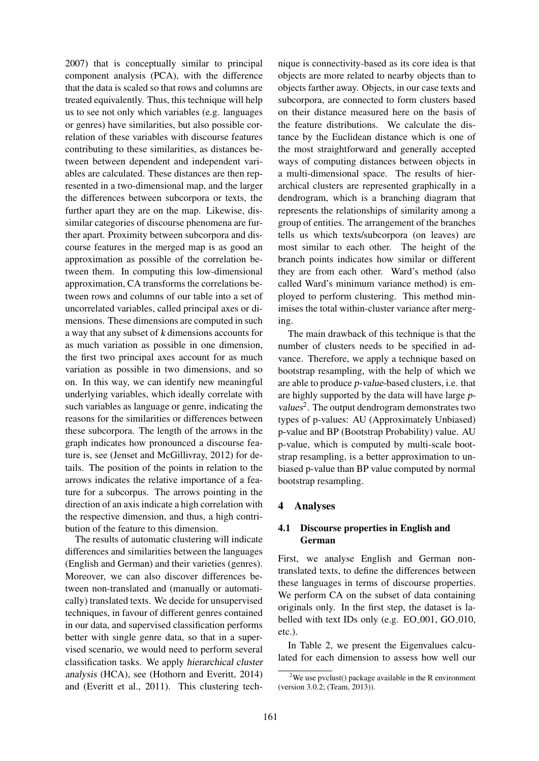2007) that is conceptually similar to principal component analysis (PCA), with the difference that the data is scaled so that rows and columns are treated equivalently. Thus, this technique will help us to see not only which variables (e.g. languages or genres) have similarities, but also possible correlation of these variables with discourse features contributing to these similarities, as distances between between dependent and independent variables are calculated. These distances are then represented in a two-dimensional map, and the larger the differences between subcorpora or texts, the further apart they are on the map. Likewise, dissimilar categories of discourse phenomena are further apart. Proximity between subcorpora and discourse features in the merged map is as good an approximation as possible of the correlation between them. In computing this low-dimensional approximation, CA transforms the correlations between rows and columns of our table into a set of uncorrelated variables, called principal axes or dimensions. These dimensions are computed in such a way that any subset of k dimensions accounts for as much variation as possible in one dimension, the first two principal axes account for as much variation as possible in two dimensions, and so on. In this way, we can identify new meaningful underlying variables, which ideally correlate with such variables as language or genre, indicating the reasons for the similarities or differences between these subcorpora. The length of the arrows in the graph indicates how pronounced a discourse feature is, see (Jenset and McGillivray, 2012) for details. The position of the points in relation to the arrows indicates the relative importance of a feature for a subcorpus. The arrows pointing in the direction of an axis indicate a high correlation with the respective dimension, and thus, a high contribution of the feature to this dimension.

The results of automatic clustering will indicate differences and similarities between the languages (English and German) and their varieties (genres). Moreover, we can also discover differences between non-translated and (manually or automatically) translated texts. We decide for unsupervised techniques, in favour of different genres contained in our data, and supervised classification performs better with single genre data, so that in a supervised scenario, we would need to perform several classification tasks. We apply hierarchical cluster analysis (HCA), see (Hothorn and Everitt, 2014) and (Everitt et al., 2011). This clustering tech-

nique is connectivity-based as its core idea is that objects are more related to nearby objects than to objects farther away. Objects, in our case texts and subcorpora, are connected to form clusters based on their distance measured here on the basis of the feature distributions. We calculate the distance by the Euclidean distance which is one of the most straightforward and generally accepted ways of computing distances between objects in a multi-dimensional space. The results of hierarchical clusters are represented graphically in a dendrogram, which is a branching diagram that represents the relationships of similarity among a group of entities. The arrangement of the branches tells us which texts/subcorpora (on leaves) are most similar to each other. The height of the branch points indicates how similar or different they are from each other. Ward's method (also called Ward's minimum variance method) is employed to perform clustering. This method minimises the total within-cluster variance after merging.

The main drawback of this technique is that the number of clusters needs to be specified in advance. Therefore, we apply a technique based on bootstrap resampling, with the help of which we are able to produce p-value-based clusters, i.e. that are highly supported by the data will have large pvalues<sup>2</sup>. The output dendrogram demonstrates two types of p-values: AU (Approximately Unbiased) p-value and BP (Bootstrap Probability) value. AU p-value, which is computed by multi-scale bootstrap resampling, is a better approximation to unbiased p-value than BP value computed by normal bootstrap resampling.

# 4 Analyses

### 4.1 Discourse properties in English and German

First, we analyse English and German nontranslated texts, to define the differences between these languages in terms of discourse properties. We perform CA on the subset of data containing originals only. In the first step, the dataset is labelled with text IDs only (e.g. EO<sub>-001</sub>, GO<sub>-010</sub>, etc.).

In Table 2, we present the Eigenvalues calculated for each dimension to assess how well our

<sup>&</sup>lt;sup>2</sup>We use pvclust() package available in the R environment (version 3.0.2; (Team, 2013)).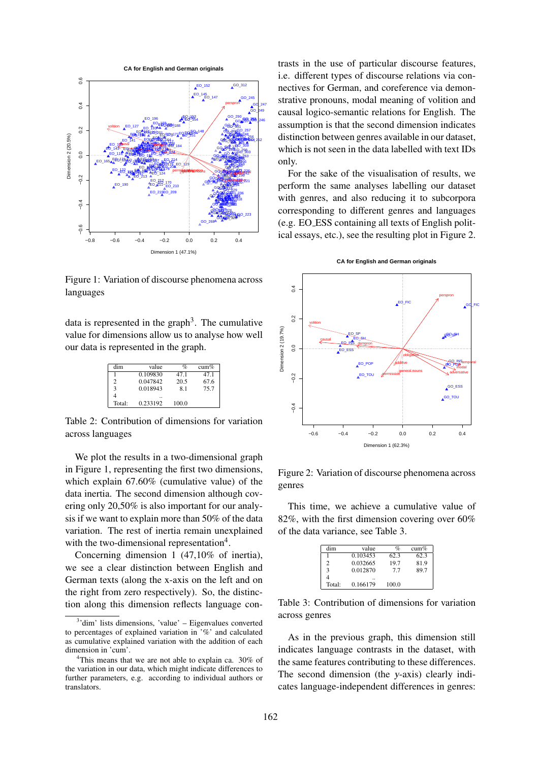

Figure 1: Variation of discourse phenomena across languages

data is represented in the graph<sup>3</sup>. The cumulative value for dimensions allow us to analyse how well our data is represented in the graph.

| dim            | value    | $\%$           | cum% |
|----------------|----------|----------------|------|
|                | 0.109830 | 47.1           | 47.1 |
| $\mathfrak{D}$ | 0.047842 | 20.5           | 67.6 |
| 3              | 0.018943 | 8 <sub>1</sub> | 75.7 |
|                |          |                |      |
| Total:         | 0.233192 | 100.0          |      |

Table 2: Contribution of dimensions for variation across languages

We plot the results in a two-dimensional graph in Figure 1, representing the first two dimensions, which explain 67.60% (cumulative value) of the data inertia. The second dimension although covering only 20,50% is also important for our analysis if we want to explain more than 50% of the data variation. The rest of inertia remain unexplained with the two-dimensional representation<sup>4</sup>.

Concerning dimension 1 (47,10% of inertia), we see a clear distinction between English and German texts (along the x-axis on the left and on the right from zero respectively). So, the distinction along this dimension reflects language contrasts in the use of particular discourse features, i.e. different types of discourse relations via connectives for German, and coreference via demonstrative pronouns, modal meaning of volition and causal logico-semantic relations for English. The assumption is that the second dimension indicates distinction between genres available in our dataset, which is not seen in the data labelled with text IDs only.

For the sake of the visualisation of results, we perform the same analyses labelling our dataset with genres, and also reducing it to subcorpora corresponding to different genres and languages (e.g. EO ESS containing all texts of English political essays, etc.), see the resulting plot in Figure 2.





Figure 2: Variation of discourse phenomena across genres

This time, we achieve a cumulative value of 82%, with the first dimension covering over 60% of the data variance, see Table 3.

| dim    | value    | $\%$  | cum% |
|--------|----------|-------|------|
|        | 0.103453 | 62.3  | 62.3 |
|        | 0.032665 | 19.7  | 81.9 |
|        | 0.012870 | 77    | 89.7 |
|        |          |       |      |
| Total: | 0.166179 | 100.0 |      |

Table 3: Contribution of dimensions for variation across genres

As in the previous graph, this dimension still indicates language contrasts in the dataset, with the same features contributing to these differences. The second dimension (the y-axis) clearly indicates language-independent differences in genres:

<sup>&</sup>lt;sup>3</sup>'dim' lists dimensions, 'value' – Eigenvalues converted to percentages of explained variation in '%' and calculated as cumulative explained variation with the addition of each dimension in 'cum'.

<sup>&</sup>lt;sup>4</sup>This means that we are not able to explain ca. 30% of the variation in our data, which might indicate differences to further parameters, e.g. according to individual authors or translators.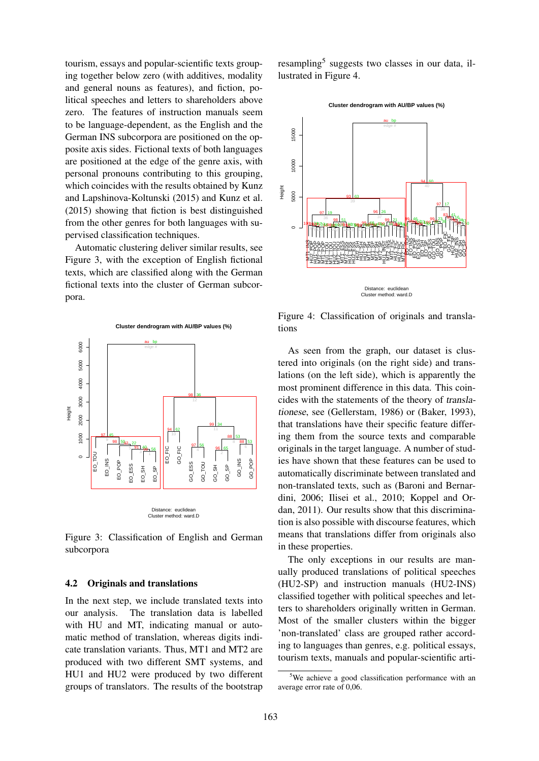tourism, essays and popular-scientific texts grouping together below zero (with additives, modality and general nouns as features), and fiction, political speeches and letters to shareholders above zero. The features of instruction manuals seem to be language-dependent, as the English and the German INS subcorpora are positioned on the opposite axis sides. Fictional texts of both languages are positioned at the edge of the genre axis, with personal pronouns contributing to this grouping, which coincides with the results obtained by Kunz and Lapshinova-Koltunski (2015) and Kunz et al. (2015) showing that fiction is best distinguished from the other genres for both languages with supervised classification techniques.

Automatic clustering deliver similar results, see Figure 3, with the exception of English fictional texts, which are classified along with the German fictional texts into the cluster of German subcorpora.



Figure 3: Classification of English and German subcorpora

#### 4.2 Originals and translations

In the next step, we include translated texts into our analysis. The translation data is labelled with HU and MT, indicating manual or automatic method of translation, whereas digits indicate translation variants. Thus, MT1 and MT2 are produced with two different SMT systems, and HU1 and HU2 were produced by two different groups of translators. The results of the bootstrap

resampling<sup>5</sup> suggests two classes in our data, illustrated in Figure 4.



Figure 4: Classification of originals and translations

As seen from the graph, our dataset is clustered into originals (on the right side) and translations (on the left side), which is apparently the most prominent difference in this data. This coincides with the statements of the theory of translationese, see (Gellerstam, 1986) or (Baker, 1993), that translations have their specific feature differing them from the source texts and comparable originals in the target language. A number of studies have shown that these features can be used to automatically discriminate between translated and non-translated texts, such as (Baroni and Bernardini, 2006; Ilisei et al., 2010; Koppel and Ordan, 2011). Our results show that this discrimination is also possible with discourse features, which means that translations differ from originals also in these properties.

The only exceptions in our results are manually produced translations of political speeches (HU2-SP) and instruction manuals (HU2-INS) classified together with political speeches and letters to shareholders originally written in German. Most of the smaller clusters within the bigger 'non-translated' class are grouped rather according to languages than genres, e.g. political essays, tourism texts, manuals and popular-scientific arti-

<sup>&</sup>lt;sup>5</sup>We achieve a good classification performance with an average error rate of 0,06.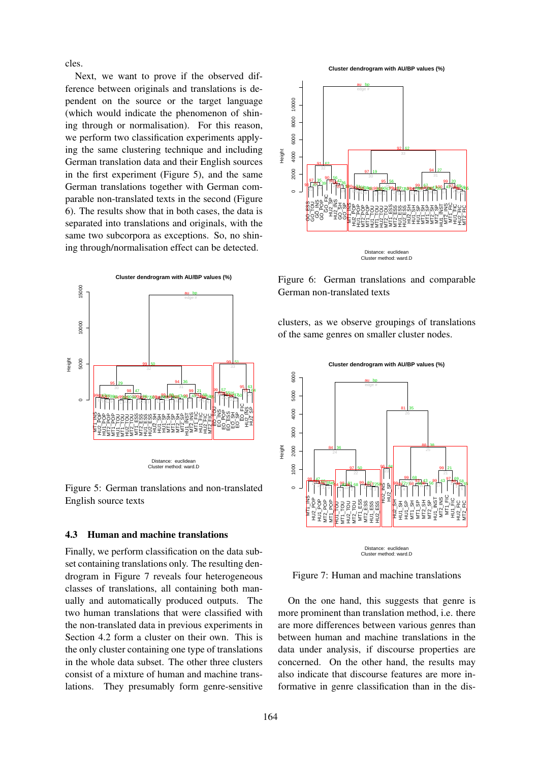cles.

Next, we want to prove if the observed difference between originals and translations is dependent on the source or the target language (which would indicate the phenomenon of shining through or normalisation). For this reason, we perform two classification experiments applying the same clustering technique and including German translation data and their English sources in the first experiment (Figure 5), and the same German translations together with German comparable non-translated texts in the second (Figure 6). The results show that in both cases, the data is separated into translations and originals, with the same two subcorpora as exceptions. So, no shining through/normalisation effect can be detected.



Figure 5: German translations and non-translated English source texts

### 4.3 Human and machine translations

Finally, we perform classification on the data subset containing translations only. The resulting dendrogram in Figure 7 reveals four heterogeneous classes of translations, all containing both manually and automatically produced outputs. The two human translations that were classified with the non-translated data in previous experiments in Section 4.2 form a cluster on their own. This is the only cluster containing one type of translations in the whole data subset. The other three clusters consist of a mixture of human and machine trans-





Figure 6: German translations and comparable German non-translated texts

clusters, as we observe groupings of translations of the same genres on smaller cluster nodes.



Figure 7: Human and machine translations

On the one hand, this suggests that genre is more prominent than translation method, i.e. there are more differences between various genres than between human and machine translations in the data under analysis, if discourse properties are concerned. On the other hand, the results may also indicate that discourse features are more informative in genre classification than in the dis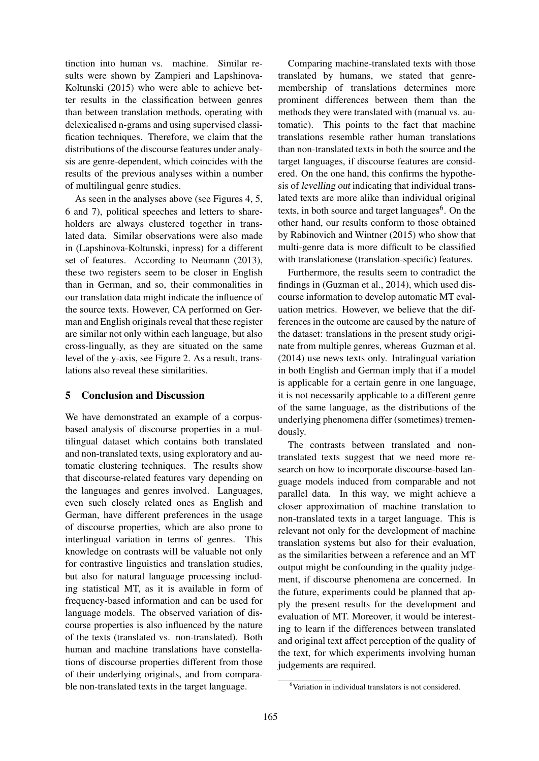tinction into human vs. machine. Similar results were shown by Zampieri and Lapshinova-Koltunski (2015) who were able to achieve better results in the classification between genres than between translation methods, operating with delexicalised n-grams and using supervised classification techniques. Therefore, we claim that the distributions of the discourse features under analysis are genre-dependent, which coincides with the results of the previous analyses within a number of multilingual genre studies.

As seen in the analyses above (see Figures 4, 5, 6 and 7), political speeches and letters to shareholders are always clustered together in translated data. Similar observations were also made in (Lapshinova-Koltunski, inpress) for a different set of features. According to Neumann (2013), these two registers seem to be closer in English than in German, and so, their commonalities in our translation data might indicate the influence of the source texts. However, CA performed on German and English originals reveal that these register are similar not only within each language, but also cross-lingually, as they are situated on the same level of the y-axis, see Figure 2. As a result, translations also reveal these similarities.

# 5 Conclusion and Discussion

We have demonstrated an example of a corpusbased analysis of discourse properties in a multilingual dataset which contains both translated and non-translated texts, using exploratory and automatic clustering techniques. The results show that discourse-related features vary depending on the languages and genres involved. Languages, even such closely related ones as English and German, have different preferences in the usage of discourse properties, which are also prone to interlingual variation in terms of genres. This knowledge on contrasts will be valuable not only for contrastive linguistics and translation studies, but also for natural language processing including statistical MT, as it is available in form of frequency-based information and can be used for language models. The observed variation of discourse properties is also influenced by the nature of the texts (translated vs. non-translated). Both human and machine translations have constellations of discourse properties different from those of their underlying originals, and from comparable non-translated texts in the target language.

Comparing machine-translated texts with those translated by humans, we stated that genremembership of translations determines more prominent differences between them than the methods they were translated with (manual vs. automatic). This points to the fact that machine translations resemble rather human translations than non-translated texts in both the source and the target languages, if discourse features are considered. On the one hand, this confirms the hypothesis of levelling out indicating that individual translated texts are more alike than individual original texts, in both source and target languages $<sup>6</sup>$ . On the</sup> other hand, our results conform to those obtained by Rabinovich and Wintner (2015) who show that multi-genre data is more difficult to be classified with translationese (translation-specific) features.

Furthermore, the results seem to contradict the findings in (Guzman et al., 2014), which used discourse information to develop automatic MT evaluation metrics. However, we believe that the differences in the outcome are caused by the nature of the dataset: translations in the present study originate from multiple genres, whereas Guzman et al. (2014) use news texts only. Intralingual variation in both English and German imply that if a model is applicable for a certain genre in one language, it is not necessarily applicable to a different genre of the same language, as the distributions of the underlying phenomena differ (sometimes) tremendously.

The contrasts between translated and nontranslated texts suggest that we need more research on how to incorporate discourse-based language models induced from comparable and not parallel data. In this way, we might achieve a closer approximation of machine translation to non-translated texts in a target language. This is relevant not only for the development of machine translation systems but also for their evaluation, as the similarities between a reference and an MT output might be confounding in the quality judgement, if discourse phenomena are concerned. In the future, experiments could be planned that apply the present results for the development and evaluation of MT. Moreover, it would be interesting to learn if the differences between translated and original text affect perception of the quality of the text, for which experiments involving human judgements are required.

<sup>6</sup>Variation in individual translators is not considered.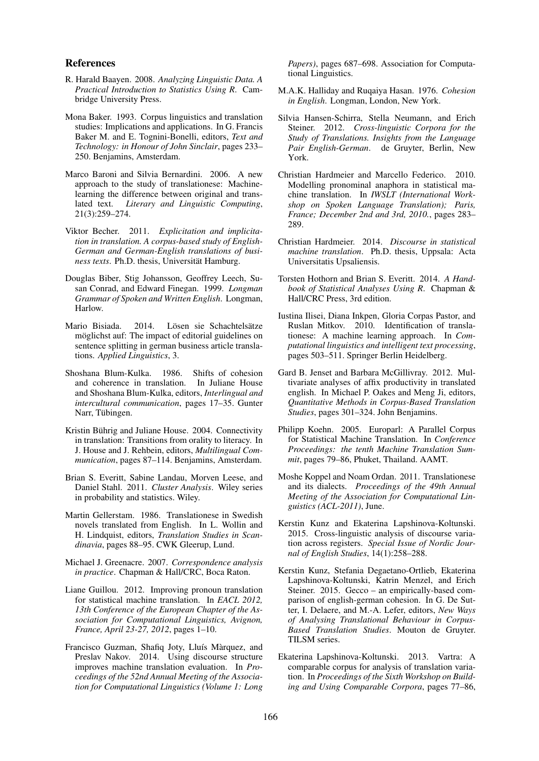#### References

- R. Harald Baayen. 2008. *Analyzing Linguistic Data. A Practical Introduction to Statistics Using R*. Cambridge University Press.
- Mona Baker. 1993. Corpus linguistics and translation studies: Implications and applications. In G. Francis Baker M. and E. Tognini-Bonelli, editors, *Text and Technology: in Honour of John Sinclair*, pages 233– 250. Benjamins, Amsterdam.
- Marco Baroni and Silvia Bernardini. 2006. A new approach to the study of translationese: Machinelearning the difference between original and translated text. *Literary and Linguistic Computing*, 21(3):259–274.
- Viktor Becher. 2011. *Explicitation and implicitation in translation. A corpus-based study of English-German and German-English translations of business texts*. Ph.D. thesis, Universität Hamburg.
- Douglas Biber, Stig Johansson, Geoffrey Leech, Susan Conrad, and Edward Finegan. 1999. *Longman Grammar of Spoken and Written English*. Longman, Harlow.
- Mario Bisiada. 2014. Lösen sie Schachtelsätze möglichst auf: The impact of editorial guidelines on sentence splitting in german business article translations. *Applied Linguistics*, 3.
- Shoshana Blum-Kulka. 1986. Shifts of cohesion and coherence in translation. In Juliane House and Shoshana Blum-Kulka, editors, *Interlingual and intercultural communication*, pages 17–35. Gunter Narr, Tübingen.
- Kristin Bührig and Juliane House. 2004. Connectivity in translation: Transitions from orality to literacy. In J. House and J. Rehbein, editors, *Multilingual Communication*, pages 87–114. Benjamins, Amsterdam.
- Brian S. Everitt, Sabine Landau, Morven Leese, and Daniel Stahl. 2011. *Cluster Analysis*. Wiley series in probability and statistics. Wiley.
- Martin Gellerstam. 1986. Translationese in Swedish novels translated from English. In L. Wollin and H. Lindquist, editors, *Translation Studies in Scandinavia*, pages 88–95. CWK Gleerup, Lund.
- Michael J. Greenacre. 2007. *Correspondence analysis in practice*. Chapman & Hall/CRC, Boca Raton.
- Liane Guillou. 2012. Improving pronoun translation for statistical machine translation. In *EACL 2012, 13th Conference of the European Chapter of the Association for Computational Linguistics, Avignon, France, April 23-27, 2012*, pages 1–10.
- Francisco Guzman, Shafiq Joty, Lluís Màrquez, and Preslav Nakov. 2014. Using discourse structure improves machine translation evaluation. In *Proceedings of the 52nd Annual Meeting of the Association for Computational Linguistics (Volume 1: Long*

*Papers)*, pages 687–698. Association for Computational Linguistics.

- M.A.K. Halliday and Ruqaiya Hasan. 1976. *Cohesion in English*. Longman, London, New York.
- Silvia Hansen-Schirra, Stella Neumann, and Erich Steiner. 2012. *Cross-linguistic Corpora for the Study of Translations. Insights from the Language Pair English-German*. de Gruyter, Berlin, New York.
- Christian Hardmeier and Marcello Federico. 2010. Modelling pronominal anaphora in statistical machine translation. In *IWSLT (International Workshop on Spoken Language Translation); Paris, France; December 2nd and 3rd, 2010.*, pages 283– 289.
- Christian Hardmeier. 2014. *Discourse in statistical machine translation*. Ph.D. thesis, Uppsala: Acta Universitatis Upsaliensis.
- Torsten Hothorn and Brian S. Everitt. 2014. *A Handbook of Statistical Analyses Using R*. Chapman & Hall/CRC Press, 3rd edition.
- Iustina Ilisei, Diana Inkpen, Gloria Corpas Pastor, and Ruslan Mitkov. 2010. Identification of translationese: A machine learning approach. In *Computational linguistics and intelligent text processing*, pages 503–511. Springer Berlin Heidelberg.
- Gard B. Jenset and Barbara McGillivray. 2012. Multivariate analyses of affix productivity in translated english. In Michael P. Oakes and Meng Ji, editors, *Quantitative Methods in Corpus-Based Translation Studies*, pages 301–324. John Benjamins.
- Philipp Koehn. 2005. Europarl: A Parallel Corpus for Statistical Machine Translation. In *Conference Proceedings: the tenth Machine Translation Summit*, pages 79–86, Phuket, Thailand. AAMT.
- Moshe Koppel and Noam Ordan. 2011. Translationese and its dialects. *Proceedings of the 49th Annual Meeting of the Association for Computational Linguistics (ACL-2011)*, June.
- Kerstin Kunz and Ekaterina Lapshinova-Koltunski. 2015. Cross-linguistic analysis of discourse variation across registers. *Special Issue of Nordic Journal of English Studies*, 14(1):258–288.
- Kerstin Kunz, Stefania Degaetano-Ortlieb, Ekaterina Lapshinova-Koltunski, Katrin Menzel, and Erich Steiner. 2015. Gecco – an empirically-based comparison of english-german cohesion. In G. De Sutter, I. Delaere, and M.-A. Lefer, editors, *New Ways of Analysing Translational Behaviour in Corpus-Based Translation Studies*. Mouton de Gruyter. TILSM series.
- Ekaterina Lapshinova-Koltunski. 2013. Vartra: A comparable corpus for analysis of translation variation. In *Proceedings of the Sixth Workshop on Building and Using Comparable Corpora*, pages 77–86,